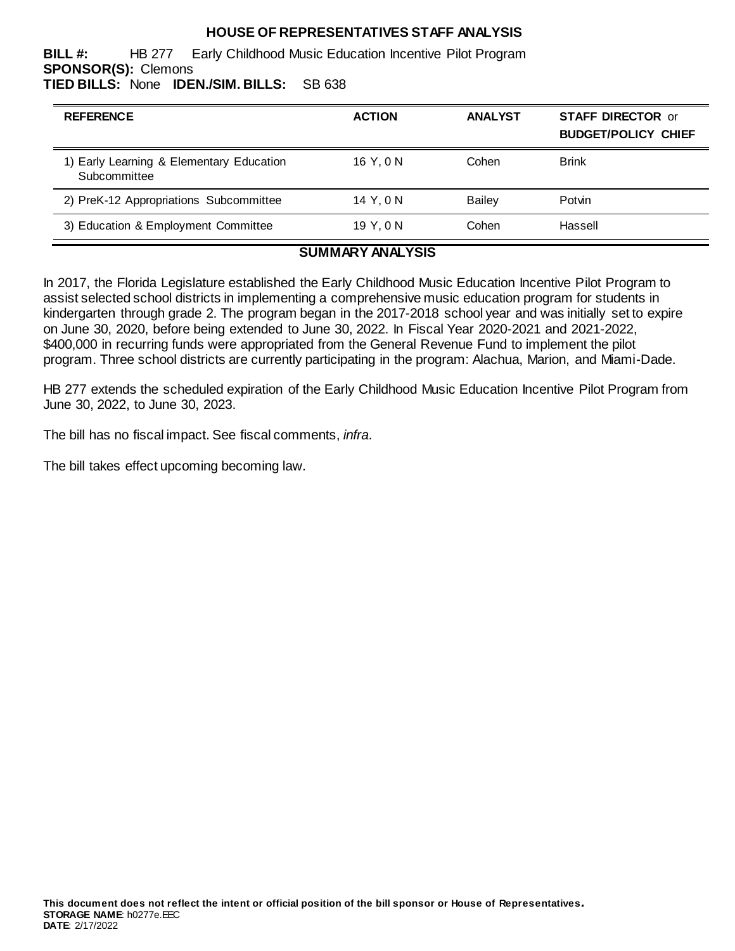## **HOUSE OF REPRESENTATIVES STAFF ANALYSIS**

**BILL #:** HB 277 Early Childhood Music Education Incentive Pilot Program **SPONSOR(S):** Clemons **TIED BILLS:** None **IDEN./SIM. BILLS:** SB 638

| <b>REFERENCE</b>                                         | <b>ACTION</b> | <b>ANALYST</b> | <b>STAFF DIRECTOR or</b><br><b>BUDGET/POLICY CHIEF</b> |
|----------------------------------------------------------|---------------|----------------|--------------------------------------------------------|
| 1) Early Learning & Elementary Education<br>Subcommittee | 16 Y.ON       | Cohen          | <b>Brink</b>                                           |
| 2) PreK-12 Appropriations Subcommittee                   | 14 Y.ON       | <b>Bailey</b>  | Potvin                                                 |
| 3) Education & Employment Committee                      | 19 Y.ON       | Cohen          | Hassell                                                |

### **SUMMARY ANALYSIS**

In 2017, the Florida Legislature established the Early Childhood Music Education Incentive Pilot Program to assist selected school districts in implementing a comprehensive music education program for students in kindergarten through grade 2. The program began in the 2017-2018 school year and was initially set to expire on June 30, 2020, before being extended to June 30, 2022. In Fiscal Year 2020-2021 and 2021-2022, \$400,000 in recurring funds were appropriated from the General Revenue Fund to implement the pilot program. Three school districts are currently participating in the program: Alachua, Marion, and Miami-Dade.

HB 277 extends the scheduled expiration of the Early Childhood Music Education Incentive Pilot Program from June 30, 2022, to June 30, 2023.

The bill has no fiscal impact. See fiscal comments, *infra*.

The bill takes effect upcoming becoming law.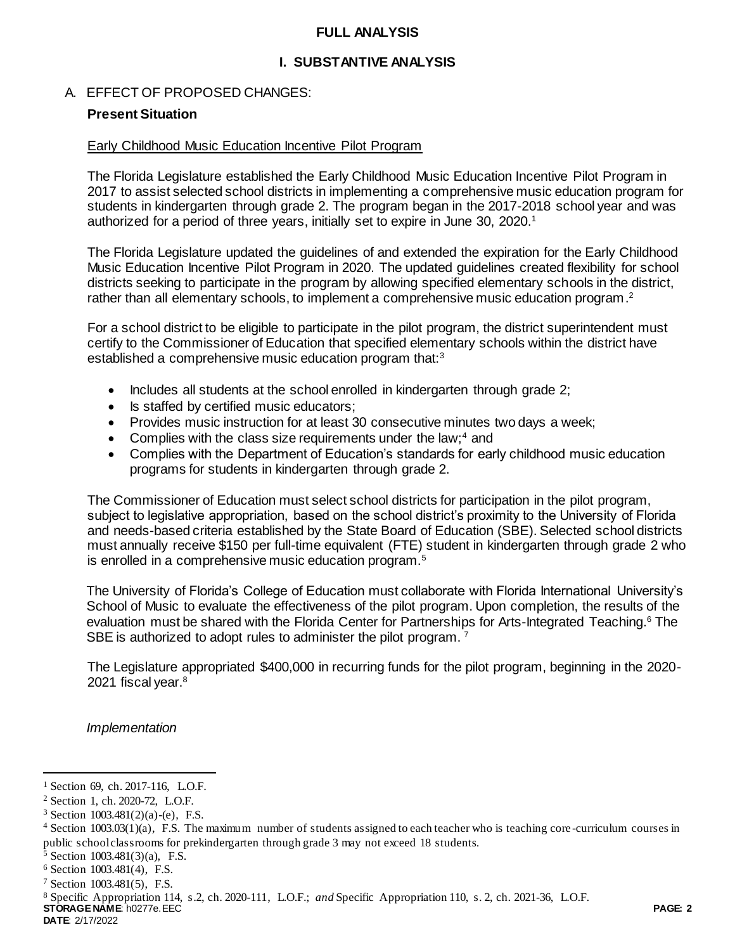### **FULL ANALYSIS**

## **I. SUBSTANTIVE ANALYSIS**

### A. EFFECT OF PROPOSED CHANGES:

### **Present Situation**

#### Early Childhood Music Education Incentive Pilot Program

The Florida Legislature established the Early Childhood Music Education Incentive Pilot Program in 2017 to assist selected school districts in implementing a comprehensive music education program for students in kindergarten through grade 2. The program began in the 2017-2018 school year and was authorized for a period of three years, initially set to expire in June 30, 2020.<sup>1</sup>

The Florida Legislature updated the guidelines of and extended the expiration for the Early Childhood Music Education Incentive Pilot Program in 2020. The updated guidelines created flexibility for school districts seeking to participate in the program by allowing specified elementary schools in the district, rather than all elementary schools, to implement a comprehensive music education program.<sup>2</sup>

For a school district to be eligible to participate in the pilot program, the district superintendent must certify to the Commissioner of Education that specified elementary schools within the district have established a comprehensive music education program that:<sup>3</sup>

- Includes all students at the school enrolled in kindergarten through grade 2;
- Is staffed by certified music educators;
- Provides music instruction for at least 30 consecutive minutes two days a week;
- Complies with the class size requirements under the law;<sup>4</sup> and
- Complies with the Department of Education's standards for early childhood music education programs for students in kindergarten through grade 2.

The Commissioner of Education must select school districts for participation in the pilot program, subject to legislative appropriation, based on the school district's proximity to the University of Florida and needs-based criteria established by the State Board of Education (SBE). Selected school districts must annually receive \$150 per full-time equivalent (FTE) student in kindergarten through grade 2 who is enrolled in a comprehensive music education program.<sup>5</sup>

The University of Florida's College of Education must collaborate with Florida International University's School of Music to evaluate the effectiveness of the pilot program. Upon completion, the results of the evaluation must be shared with the Florida Center for Partnerships for Arts-Integrated Teaching.<sup>6</sup> The SBE is authorized to adopt rules to administer the pilot program.<sup>7</sup>

The Legislature appropriated \$400,000 in recurring funds for the pilot program, beginning in the 2020- 2021 fiscal year.<sup>8</sup>

*Implementation* 

<sup>5</sup> Section 1003.481(3)(a), F.S.

l

<sup>&</sup>lt;sup>1</sup> Section 69, ch. 2017-116, L.O.F.

<sup>2</sup> Section 1, ch. 2020-72, L.O.F.

 $3$  Section 1003.481(2)(a)-(e), F.S.

 $4$  Section 1003.03(1)(a), F.S. The maximum number of students assigned to each teacher who is teaching core-curriculum courses in public school classrooms for prekindergarten through grade 3 may not exceed 18 students.

<sup>6</sup> Section 1003.481(4), F.S.

<sup>7</sup> Section 1003.481(5), F.S.

<sup>8</sup> Specific Appropriation 114, s.2, ch. 2020-111, L.O.F.; *and* Specific Appropriation 110, s. 2, ch. 2021-36, L.O.F.

**STORAGE NAME**: h0277e.EEC **PAGE: 2 DATE**: 2/17/2022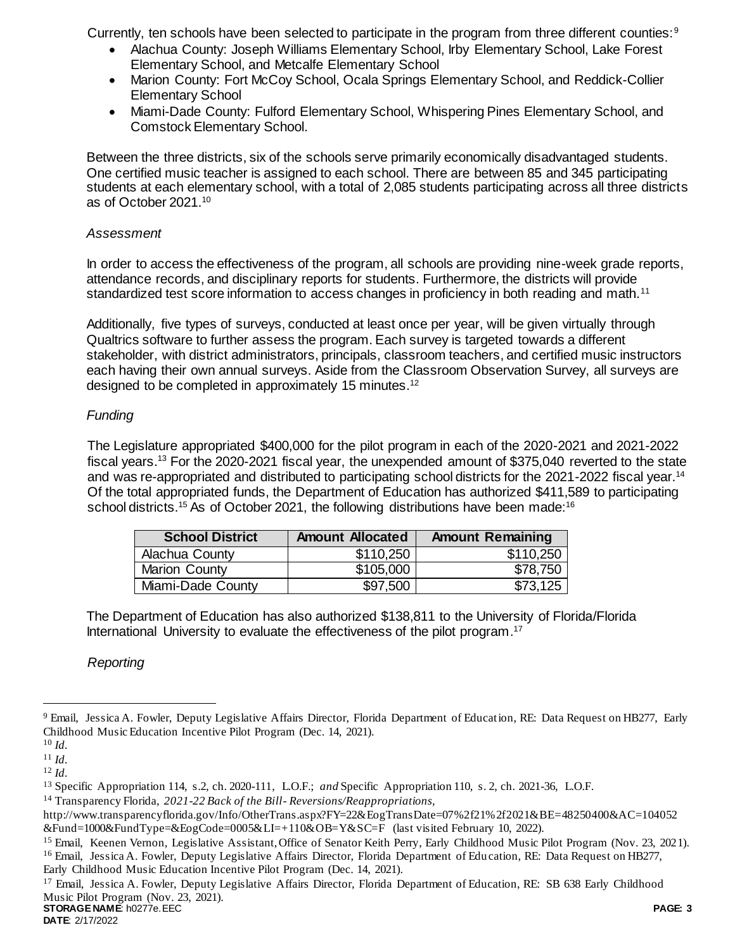Currently, ten schools have been selected to participate in the program from three different counties:<sup>9</sup>

- Alachua County: Joseph Williams Elementary School, Irby Elementary School, Lake Forest Elementary School, and Metcalfe Elementary School
- Marion County: Fort McCoy School, Ocala Springs Elementary School, and Reddick-Collier Elementary School
- Miami-Dade County: Fulford Elementary School, Whispering Pines Elementary School, and Comstock Elementary School.

Between the three districts, six of the schools serve primarily economically disadvantaged students. One certified music teacher is assigned to each school. There are between 85 and 345 participating students at each elementary school, with a total of 2,085 students participating across all three districts as of October 2021.<sup>10</sup>

## *Assessment*

In order to access the effectiveness of the program, all schools are providing nine-week grade reports, attendance records, and disciplinary reports for students. Furthermore, the districts will provide standardized test score information to access changes in proficiency in both reading and math.<sup>11</sup>

Additionally, five types of surveys, conducted at least once per year, will be given virtually through Qualtrics software to further assess the program. Each survey is targeted towards a different stakeholder, with district administrators, principals, classroom teachers, and certified music instructors each having their own annual surveys. Aside from the Classroom Observation Survey, all surveys are designed to be completed in approximately 15 minutes.<sup>12</sup>

# *Funding*

The Legislature appropriated \$400,000 for the pilot program in each of the 2020-2021 and 2021-2022 fiscal years.<sup>13</sup> For the 2020-2021 fiscal year, the unexpended amount of \$375,040 reverted to the state and was re-appropriated and distributed to participating school districts for the 2021-2022 fiscal year.<sup>14</sup> Of the total appropriated funds, the Department of Education has authorized \$411,589 to participating school districts.<sup>15</sup> As of October 2021, the following distributions have been made:<sup>16</sup>

| <b>School District</b> | <b>Amount Allocated</b> | <b>Amount Remaining</b> |
|------------------------|-------------------------|-------------------------|
| Alachua County         | \$110,250               | \$110,250               |
| <b>Marion County</b>   | \$105,000               | \$78,750                |
| Miami-Dade County      | \$97,500                | \$73,125                |

The Department of Education has also authorized \$138,811 to the University of Florida/Florida International University to evaluate the effectiveness of the pilot program.<sup>17</sup>

# *Reporting*

 $\overline{a}$ 

**STORAGE NAME**: h0277e.EEC **PAGE: 3** <sup>17</sup> Email, Jessica A. Fowler, Deputy Legislative Affairs Director, Florida Department of Education, RE: SB 638 Early Childhood Music Pilot Program (Nov. 23, 2021).

<sup>9</sup> Email, Jessica A. Fowler, Deputy Legislative Affairs Director, Florida Department of Education, RE: Data Request on HB277, Early Childhood Music Education Incentive Pilot Program (Dec. 14, 2021).

<sup>10</sup> *Id.*

<sup>11</sup> *Id.*

<sup>12</sup> *Id.*

<sup>&</sup>lt;sup>13</sup> Specific Appropriation 114, s.2, ch. 2020-111, L.O.F.; *and* Specific Appropriation 110, s. 2, ch. 2021-36, L.O.F.

<sup>14</sup> Transparency Florida, *2021-22 Back of the Bill- Reversions/Reappropriations,*

http://www.transparencyflorida.gov/Info/OtherTrans.aspx?FY=22&EogTransDate=07%2f21%2f2021&BE=48250400&AC=104052 &Fund=1000&FundType=&EogCode=0005&LI=+110&OB=Y&SC=F (last visited February 10, 2022).

<sup>&</sup>lt;sup>15</sup> Email, Keenen Vernon, Legislative Assistant, Office of Senator Keith Perry, Early Childhood Music Pilot Program (Nov. 23, 2021). <sup>16</sup> Email, Jessica A. Fowler, Deputy Legislative Affairs Director, Florida Department of Education, RE: Data Request on HB277, Early Childhood Music Education Incentive Pilot Program (Dec. 14, 2021).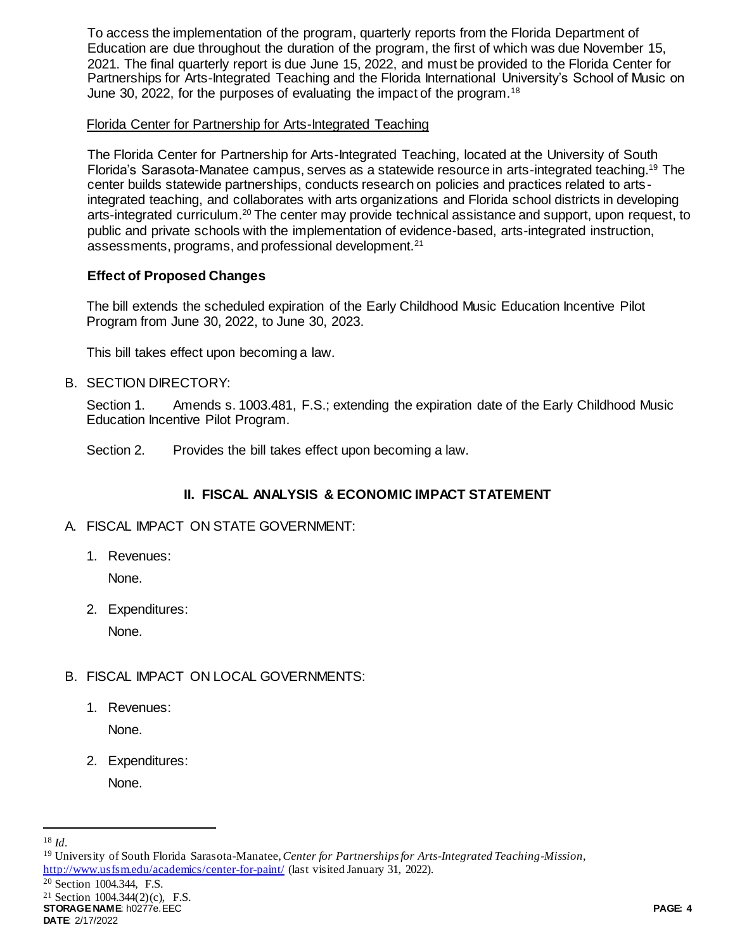To access the implementation of the program, quarterly reports from the Florida Department of Education are due throughout the duration of the program, the first of which was due November 15, 2021. The final quarterly report is due June 15, 2022, and must be provided to the Florida Center for Partnerships for Arts-Integrated Teaching and the Florida International University's School of Music on June 30, 2022, for the purposes of evaluating the impact of the program.<sup>18</sup>

## Florida Center for Partnership for Arts-Integrated Teaching

The Florida Center for Partnership for Arts-Integrated Teaching, located at the University of South Florida's Sarasota-Manatee campus, serves as a statewide resource in arts-integrated teaching.<sup>19</sup> The center builds statewide partnerships, conducts research on policies and practices related to artsintegrated teaching, and collaborates with arts organizations and Florida school districts in developing arts-integrated curriculum.<sup>20</sup> The center may provide technical assistance and support, upon request, to public and private schools with the implementation of evidence-based, arts-integrated instruction, assessments, programs, and professional development.<sup>21</sup>

## **Effect of Proposed Changes**

The bill extends the scheduled expiration of the Early Childhood Music Education Incentive Pilot Program from June 30, 2022, to June 30, 2023.

This bill takes effect upon becoming a law.

## B. SECTION DIRECTORY:

Section 1. Amends s. 1003.481, F.S.; extending the expiration date of the Early Childhood Music Education Incentive Pilot Program.

Section 2. Provides the bill takes effect upon becoming a law.

## **II. FISCAL ANALYSIS & ECONOMIC IMPACT STATEMENT**

- A. FISCAL IMPACT ON STATE GOVERNMENT:
	- 1. Revenues:

None.

2. Expenditures:

None.

- B. FISCAL IMPACT ON LOCAL GOVERNMENTS:
	- 1. Revenues:

None.

2. Expenditures:

None.

l

<http://www.usfsm.edu/academics/center-for-paint/> (last visited January 31, 2022).

<sup>20</sup> Section 1004.344, F.S.

<sup>21</sup> Section 1004.344(2)(c), F.S.

**STORAGE NAME**: h0277e.EEC **PAGE: 4 DATE**: 2/17/2022

<sup>18</sup> *Id.*

<sup>19</sup> University of South Florida Sarasota-Manatee, *Center for Partnerships for Arts-Integrated Teaching-Mission*,